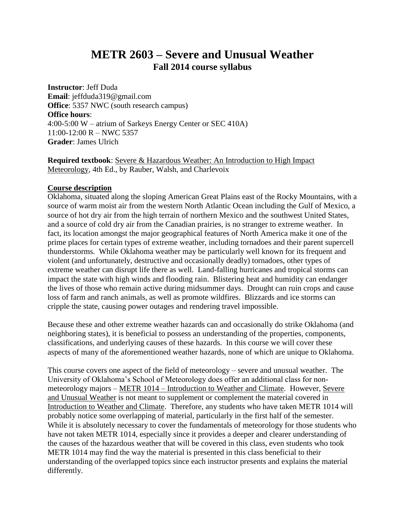# **METR 2603 – Severe and Unusual Weather Fall 2014 course syllabus**

**Instructor**: Jeff Duda **Email**: jeffduda319@gmail.com **Office**: 5357 NWC (south research campus) **Office hours**: 4:00-5:00 W – atrium of Sarkeys Energy Center or SEC 410A) 11:00-12:00 R – NWC 5357 **Grader**: James Ulrich

**Required textbook**: Severe & Hazardous Weather: An Introduction to High Impact Meteorology, 4th Ed., by Rauber, Walsh, and Charlevoix

## **Course description**

Oklahoma, situated along the sloping American Great Plains east of the Rocky Mountains, with a source of warm moist air from the western North Atlantic Ocean including the Gulf of Mexico, a source of hot dry air from the high terrain of northern Mexico and the southwest United States, and a source of cold dry air from the Canadian prairies, is no stranger to extreme weather. In fact, its location amongst the major geographical features of North America make it one of the prime places for certain types of extreme weather, including tornadoes and their parent supercell thunderstorms. While Oklahoma weather may be particularly well known for its frequent and violent (and unfortunately, destructive and occasionally deadly) tornadoes, other types of extreme weather can disrupt life there as well. Land-falling hurricanes and tropical storms can impact the state with high winds and flooding rain. Blistering heat and humidity can endanger the lives of those who remain active during midsummer days. Drought can ruin crops and cause loss of farm and ranch animals, as well as promote wildfires. Blizzards and ice storms can cripple the state, causing power outages and rendering travel impossible.

Because these and other extreme weather hazards can and occasionally do strike Oklahoma (and neighboring states), it is beneficial to possess an understanding of the properties, components, classifications, and underlying causes of these hazards. In this course we will cover these aspects of many of the aforementioned weather hazards, none of which are unique to Oklahoma.

This course covers one aspect of the field of meteorology – severe and unusual weather. The University of Oklahoma's School of Meteorology does offer an additional class for nonmeteorology majors – METR 1014 – Introduction to Weather and Climate. However, Severe and Unusual Weather is not meant to supplement or complement the material covered in Introduction to Weather and Climate. Therefore, any students who have taken METR 1014 will probably notice some overlapping of material, particularly in the first half of the semester. While it is absolutely necessary to cover the fundamentals of meteorology for those students who have not taken METR 1014, especially since it provides a deeper and clearer understanding of the causes of the hazardous weather that will be covered in this class, even students who took METR 1014 may find the way the material is presented in this class beneficial to their understanding of the overlapped topics since each instructor presents and explains the material differently.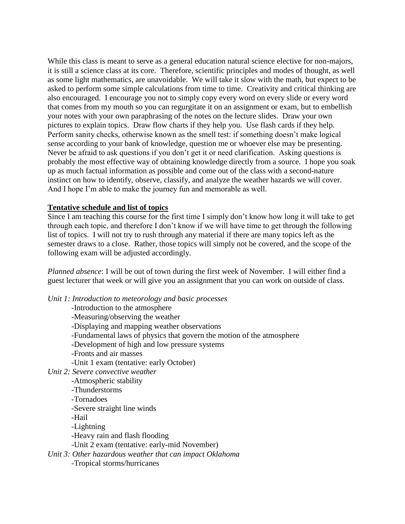While this class is meant to serve as a general education natural science elective for non-majors, it is still a science class at its core. Therefore, scientific principles and modes of thought, as well as some light mathematics, are unavoidable. We will take it slow with the math, but expect to be asked to perform some simple calculations from time to time. Creativity and critical thinking are also encouraged. I encourage you not to simply copy every word on every slide or every word that comes from my mouth so you can regurgitate it on an assignment or exam, but to embellish your notes with your own paraphrasing of the notes on the lecture slides. Draw your own pictures to explain topics. Draw flow charts if they help you. Use flash cards if they help. Perform sanity checks, otherwise known as the smell test: if something doesn't make logical sense according to your bank of knowledge, question me or whoever else may be presenting. Never be afraid to ask questions if you don't get it or need clarification. Asking questions is probably the most effective way of obtaining knowledge directly from a source. I hope you soak up as much factual information as possible and come out of the class with a second-nature instinct on how to identify, observe, classify, and analyze the weather hazards we will cover. And I hope I'm able to make the journey fun and memorable as well.

#### **Tentative schedule and list of topics**

Since I am teaching this course for the first time I simply don't know how long it will take to get through each topic, and therefore I don't know if we will have time to get through the following list of topics. I will not try to rush through any material if there are many topics left as the semester draws to a close. Rather, those topics will simply not be covered, and the scope of the following exam will be adjusted accordingly.

*Planned absence*: I will be out of town during the first week of November. I will either find a guest lecturer that week or will give you an assignment that you can work on outside of class.

*Unit 1: Introduction to meteorology and basic processes*

-Introduction to the atmosphere -Measuring/observing the weather -Displaying and mapping weather observations -Fundamental laws of physics that govern the motion of the atmosphere -Development of high and low pressure systems -Fronts and air masses -Unit 1 exam (tentative: early October) *Unit 2: Severe convective weather* -Atmospheric stability -Thunderstorms -Tornadoes -Severe straight line winds -Hail -Lightning -Heavy rain and flash flooding -Unit 2 exam (tentative: early-mid November) *Unit 3: Other hazardous weather that can impact Oklahoma* -Tropical storms/hurricanes